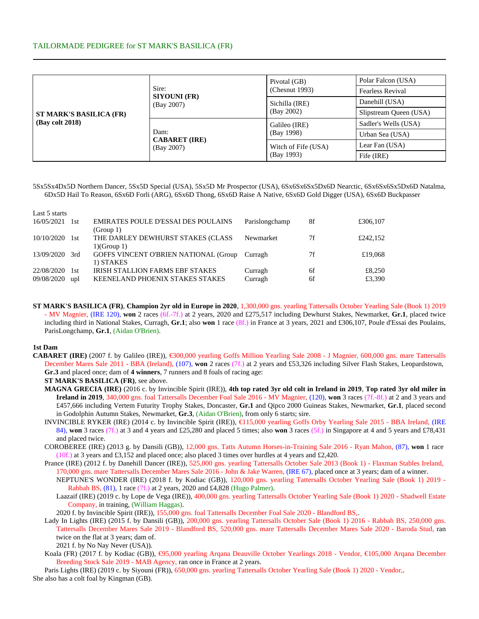# TAILORMADE PEDIGREE for ST MARK'S BASILICA (FR)

| ST MARK'S BASILICA (FR)<br>(Bay colt 2018) |                                            | Pivotal (GB)        | Polar Falcon (USA)      |  |  |
|--------------------------------------------|--------------------------------------------|---------------------|-------------------------|--|--|
|                                            | Sire:<br><b>SIYOUNI (FR)</b>               | (Chesnut 1993)      | <b>Fearless Revival</b> |  |  |
|                                            | (Bay 2007)                                 | Sichilla (IRE)      | Danehill (USA)          |  |  |
|                                            |                                            | (Bay 2002)          | Slipstream Queen (USA)  |  |  |
|                                            |                                            | Galileo (IRE)       | Sadler's Wells (USA)    |  |  |
|                                            | Dam:<br><b>CABARET</b> (IRE)<br>(Bay 2007) | (Bay 1998)          | Urban Sea (USA)         |  |  |
|                                            |                                            | Witch of Fife (USA) | Lear Fan (USA)          |  |  |
|                                            |                                            | (Bay 1993)          | Fife (IRE)              |  |  |

5Sx5Sx4Dx5D Northern Dancer, 5Sx5D Special (USA), 5Sx5D Mr Prospector (USA), 6Sx6Sx6Sx5Dx6D Nearctic, 6Sx6Sx6Sx5Dx6D Natalma, 6Dx5D Hail To Reason, 6Sx6D Forli (ARG), 6Sx6D Thong, 6Sx6D Raise A Native, 6Sx6D Gold Digger (USA), 6Sx6D Buckpasser

| Last 5 starts |       |                                            |                |    |          |
|---------------|-------|--------------------------------------------|----------------|----|----------|
| 16/05/2021    | 1st   | <b>EMIRATES POULE D'ESSAI DES POULAINS</b> | Parislongchamp | 8f | £306,107 |
|               |       | (Group 1)                                  |                |    |          |
| 10/10/2020    | - 1st | THE DARLEY DEWHURST STAKES (CLASS          | Newmarket      | 7f | £242.152 |
|               |       | 1(Group 1)                                 |                |    |          |
| 13/09/2020    | 3rd   | GOFFS VINCENT O'BRIEN NATIONAL (Group      | Curragh        | 7f | £19,068  |
|               |       | 1) STAKES                                  |                |    |          |
| 22/08/2020    | -l st | <b>IRISH STALLION FARMS EBF STAKES</b>     | Curragh        | 6f | £8,250   |
| 09/08/2020    | upl   | <b>KEENELAND PHOENIX STAKES STAKES</b>     | Curragh        | 6f | £3,390   |

**ST MARK'S BASILICA (FR)**, **Champion 2yr old in Europe in 2020**, 1,300,000 gns. yearling Tattersalls October Yearling Sale (Book 1) 2019 - MV Magnier, (IRE 120), **won** 2 races (6f.-7f.) at 2 years, 2020 and £275,517 including Dewhurst Stakes, Newmarket, **Gr.1**, placed twice including third in National Stakes, Curragh, **Gr.1**; also **won** 1 race (8f.) in France at 3 years, 2021 and £306,107, Poule d'Essai des Poulains, ParisLongchamp, **Gr.1**, (Aidan O'Brien).

#### **1st Dam**

**CABARET (IRE)** (2007 f. by Galileo (IRE)), €300,000 yearling Goffs Million Yearling Sale 2008 - J Magnier,600,000 gns. mare Tattersalls December Mares Sale 2011 - BBA (Ireland), (107), **won** 2 races (7f.) at 2 years and £53,326 including Silver Flash Stakes, Leopardstown, **Gr.3** and placed once; dam of **4 winners**, 7 runners and 8 foals of racing age:

### **ST MARK'S BASILICA (FR)**, see above.

- **MAGNA GRECIA (IRE)** (2016 c. by Invincible Spirit (IRE)), **4th top rated 3yr old colt in Ireland in 2019**, **Top rated 3yr old miler in Ireland in 2019**, 340,000 gns. foal Tattersalls December Foal Sale 2016 - MV Magnier, (120), **won** 3 races (7f.-8f.) at 2 and 3 years and £457,666 including Vertem Futurity Trophy Stakes, Doncaster, **Gr.1** and Qipco 2000 Guineas Stakes, Newmarket, **Gr.1**, placed second in Godolphin Autumn Stakes, Newmarket, **Gr.3**, (Aidan O'Brien), from only 6 starts; sire.
- INVINCIBLE RYKER (IRE) (2014 c. by Invincible Spirit (IRE)), €115,000 yearling Goffs Orby Yearling Sale 2015 BBA Ireland,(IRE 84), **won** 3 races (7f.) at 3 and 4 years and £25,280 and placed 5 times; also **won** 3 races (5f.) in Singapore at 4 and 5 years and £78,431 and placed twice.
- COROBEREE (IRE) (2013 g. by Dansili (GB)), 12,000 gns. Tatts Autumn Horses-in-Training Sale 2016 Ryan Mahon, (87), **won** 1 race (10f.) at 3 years and £3,152 and placed once; also placed 3 times over hurdles at 4 years and £2,420.

Prance (IRE) (2012 f. by Danehill Dancer (IRE)), 525,000 gns. yearling Tattersalls October Sale 2013 (Book 1) - Flaxman Stables Ireland, 170,000 gns. mare Tattersalls December Mares Sale 2016 - John & Jake Warren, (IRE 67), placed once at 3 years; dam of a winner.

NEPTUNE'S WONDER (IRE) (2018 f. by Kodiac (GB)), 120,000 gns. yearling Tattersalls October Yearling Sale (Book 1) 2019 - Rabbah BS, (81), 1 race (7f.) at 2 years, 2020 and £4,828 (Hugo Palmer).

Laazaif (IRE) (2019 c. by Lope de Vega (IRE)), 400,000 gns. yearling Tattersalls October Yearling Sale (Book 1) 2020 - Shadwell Estate Company, in training, (William Haggas).

2020 f. by Invincible Spirit (IRE)), 155,000 gns. foal Tattersalls December Foal Sale 2020 - Blandford BS,.

Lady In Lights (IRE) (2015 f. by Dansili (GB)), 200,000 gns. yearling Tattersalls October Sale (Book 1) 2016 - Rabbah BS, 250,000 gns. Tattersalls December Mares Sale 2019 - Blandford BS, 520,000 gns. mare Tattersalls December Mares Sale 2020 - Baroda Stud, ran twice on the flat at 3 years; dam of.

2021 f. by No Nay Never (USA)).

Koala (FR) (2017 f. by Kodiac (GB)), €95,000 yearling Arqana Deauville October Yearlings 2018 - Vendor,€105,000 Arqana December Breeding Stock Sale 2019 - MAB Agency, ran once in France at 2 years.

Paris Lights (IRE) (2019 c. by Siyouni (FR)), 650,000 gns. yearling Tattersalls October Yearling Sale (Book 1) 2020 - Vendor,. She also has a colt foal by Kingman (GB).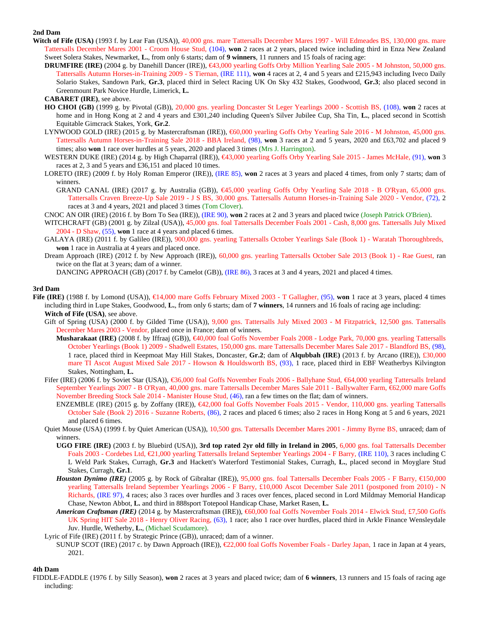# **2nd Dam**

- Witch of Fife (USA) (1993 f. by Lear Fan (USA)), 40,000 gns. mare Tattersalls December Mares 1997 Will Edmeades BS, 130,000 gns. mare Tattersalls December Mares 2001 - Croom House Stud, (104), **won** 2 races at 2 years, placed twice including third in Enza New Zealand Sweet Solera Stakes, Newmarket, **L.**, from only 6 starts; dam of **9 winners**, 11 runners and 15 foals of racing age:
	- **DRUMFIRE (IRE)** (2004 g. by Danehill Dancer (IRE)),  $€43,000$  yearling Goffs Orby Million Yearling Sale 2005 M Johnston,50,000 gns. Tattersalls Autumn Horses-in-Training 2009 - S Tiernan, (IRE 111), **won** 4 races at 2, 4 and 5 years and £215,943 including Iveco Daily Solario Stakes, Sandown Park, **Gr.3**, placed third in Select Racing UK On Sky 432 Stakes, Goodwood, **Gr.3**; also placed second in Greenmount Park Novice Hurdle, Limerick, **L.**

- **HO CHOI (GB)** (1999 g. by Pivotal (GB)), 20,000 gns. yearling Doncaster St Leger Yearlings 2000 Scottish BS, (108), **won** 2 races at home and in Hong Kong at 2 and 4 years and £301,240 including Queen's Silver Jubilee Cup, Sha Tin, **L.**, placed second in Scottish Equitable Gimcrack Stakes, York, **Gr.2**.
- LYNWOOD GOLD (IRE) (2015 g. by Mastercraftsman (IRE)), €60,000 yearling Goffs Orby Yearling Sale 2016 M Johnston,45,000 gns. Tattersalls Autumn Horses-in-Training Sale 2018 - BBA Ireland, (98), **won** 3 races at 2 and 5 years, 2020 and £63,702 and placed 9 times; also **won** 1 race over hurdles at 5 years, 2020 and placed 3 times (Mrs J. Harrington).
- WESTERN DUKE (IRE) (2014 g. by High Chaparral (IRE)), €43,000 yearling Goffs Orby Yearling Sale 2015 James McHale,(91), **won** 3 races at 2, 3 and 5 years and £36,151 and placed 10 times.
- LORETO (IRE) (2009 f. by Holy Roman Emperor (IRE)), (IRE 85), **won** 2 races at 3 years and placed 4 times, from only 7 starts; dam of winners.

GRAND CANAL (IRE) (2017 g. by Australia (GB)), €45,000 yearling Goffs Orby Yearling Sale 2018 - B O'Ryan, 65,000 gns. Tattersalls Craven Breeze-Up Sale 2019 - J S BS, 30,000 gns. Tattersalls Autumn Horses-in-Training Sale 2020 - Vendor, (72), 2 races at 3 and 4 years, 2021 and placed 3 times (Tom Clover).

CNOC AN OIR (IRE) (2016 f. by Born To Sea (IRE)), (IRE 90), **won** 2 races at 2 and 3 years and placed twice (Joseph Patrick O'Brien).

- WITCHCRAFT (GB) (2001 g. by Zilzal (USA)), 45,000 gns. foal Tattersalls December Foals 2001 Cash, 8,000 gns. Tattersalls July Mixed 2004 - D Shaw, (55), **won** 1 race at 4 years and placed 6 times.
- GALAYA (IRE) (2011 f. by Galileo (IRE)), 900,000 gns. yearling Tattersalls October Yearlings Sale (Book 1) Waratah Thoroughbreds, **won** 1 race in Australia at 4 years and placed once.
- Dream Approach (IRE) (2012 f. by New Approach (IRE)), 60,000 gns. yearling Tattersalls October Sale 2013 (Book 1) Rae Guest, ran twice on the flat at 3 years; dam of a winner.

DANCING APPROACH (GB) (2017 f. by Camelot (GB)), (IRE 86), 3 races at 3 and 4 years, 2021 and placed 4 times.

## **3rd Dam**

- **Fife (IRE)** (1988 f. by Lomond (USA)), €14,000 mare Goffs February Mixed 2003 T Gallagher,(95), **won** 1 race at 3 years, placed 4 times including third in Lupe Stakes, Goodwood, **L.**, from only 6 starts; dam of **7 winners**, 14 runners and 16 foals of racing age including: **Witch of Fife (USA)**, see above.
	- Gift of Spring (USA) (2000 f. by Gilded Time (USA)), 9,000 gns. Tattersalls July Mixed 2003 M Fitzpatrick, 12,500 gns. Tattersalls December Mares 2003 - Vendor, placed once in France; dam of winners.
		- **Musharakaat (IRE)** (2008 f. by Iffraaj (GB)), €40,000 foal Goffs November Foals 2008 Lodge Park,70,000 gns. yearling Tattersalls October Yearlings (Book 1) 2009 - Shadwell Estates, 150,000 gns. mare Tattersalls December Mares Sale 2017 - Blandford BS, (98), 1 race, placed third in Keepmoat May Hill Stakes, Doncaster, **Gr.2**; dam of **Alqubbah (IRE)** (2013 f. by Arcano (IRE)), £30,000 mare TI Ascot August Mixed Sale 2017 - Howson & Houldsworth BS, (93), 1 race, placed third in EBF Weatherbys Kilvington Stakes, Nottingham, **L.**
	- Fifer (IRE) (2006 f. by Soviet Star (USA)), €36,000 foal Goffs November Foals 2006 Ballyhane Stud,€64,000 yearling Tattersalls Ireland September Yearlings 2007 - B O'Ryan, 40,000 gns. mare Tattersalls December Mares Sale 2011 - Ballywalter Farm, €62,000 mare Goffs November Breeding Stock Sale 2014 - Manister House Stud, (46), ran a few times on the flat; dam of winners.
		- ENZEMBLE (IRE) (2015 g. by Zoffany (IRE)), €42,000 foal Goffs November Foals 2015 Vendor,110,000 gns. yearling Tattersalls October Sale (Book 2) 2016 - Suzanne Roberts, (86), 2 races and placed 6 times; also 2 races in Hong Kong at 5 and 6 years, 2021 and placed 6 times.
	- Quiet Mouse (USA) (1999 f. by Quiet American (USA)), 10,500 gns. Tattersalls December Mares 2001 Jimmy Byrne BS, unraced; dam of winners.
		- **UGO FIRE (IRE)** (2003 f. by Bluebird (USA)), **3rd top rated 2yr old filly in Ireland in 2005**, 6,000 gns. foal Tattersalls December Foals 2003 - Cordebes Ltd, €21,000 yearling Tattersalls Ireland September Yearlings 2004 - F Barry,(IRE 110), 3 races including C L Weld Park Stakes, Curragh, **Gr.3** and Hackett's Waterford Testimonial Stakes, Curragh, **L.**, placed second in Moyglare Stud Stakes, Curragh, **Gr.1**.
		- *Houston Dynimo (IRE)* (2005 g. by Rock of Gibraltar (IRE)), 95,000 gns. foal Tattersalls December Foals 2005 F Barry, €150,000 yearling Tattersalls Ireland September Yearlings 2006 - F Barry, £10,000 Ascot December Sale 2011 (postponed from 2010) - N Richards, (IRE 97), 4 races; also 3 races over hurdles and 3 races over fences, placed second in Lord Mildmay Memorial Handicap Chase, Newton Abbot, **L.** and third in 888sport Totepool Handicap Chase, Market Rasen, **L.**
		- *American Craftsman (IRE)* (2014 g. by Mastercraftsman (IRE)), €60,000 foal Goffs November Foals 2014 Elwick Stud,£7,500 Goffs UK Spring HIT Sale 2018 - Henry Oliver Racing, (63), 1 race; also 1 race over hurdles, placed third in Arkle Finance Wensleydale Juv. Hurdle, Wetherby, **L.**, (Michael Scudamore).
	- Lyric of Fife (IRE) (2011 f. by Strategic Prince (GB)), unraced; dam of a winner.
	- SUNUP SCOT (IRE) (2017 c. by Dawn Approach (IRE)), €22,000 foal Goffs November Foals Darley Japan, 1 race in Japan at 4 years, 2021.

## **4th Dam**

FIDDLE-FADDLE (1976 f. by Silly Season), **won** 2 races at 3 years and placed twice; dam of **6 winners**, 13 runners and 15 foals of racing age including:

**CABARET (IRE)**, see above.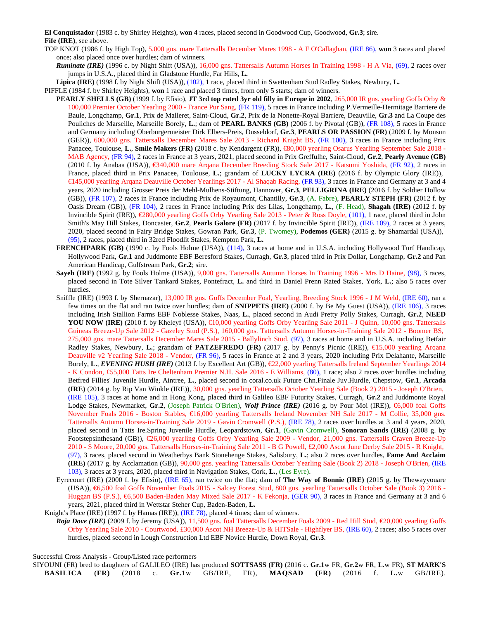**El Conquistador** (1983 c. by Shirley Heights), **won** 4 races, placed second in Goodwood Cup, Goodwood, **Gr.3**; sire. **Fife (IRE)**, see above.

- TOP KNOT (1986 f. by High Top), 5,000 gns. mare Tattersalls December Mares 1998 A F O'Callaghan, (IRE 86), **won** 3 races and placed once; also placed once over hurdles; dam of winners.
	- *Ruminate (IRE)* (1996 c. by Night Shift (USA)), 16,000 gns. Tattersalls Autumn Horses In Training 1998 H A Via, (69), 2 races over jumps in U.S.A., placed third in Gladstone Hurdle, Far Hills, **L.**

**Lipica (IRE)** (1998 f. by Night Shift (USA)), (102), 1 race, placed third in Swettenham Stud Radley Stakes, Newbury, **L.**

PIFFLE (1984 f. by Shirley Heights), **won** 1 race and placed 3 times, from only 5 starts; dam of winners.

- **PEARLY SHELLS (GB)** (1999 f. by Efisio), **JT 3rd top rated 3yr old filly in Europe in 2002**, 265,000 IR gns. yearling Goffs Orby & 100,000 Premier October Yearling 2000 - France Pur Sang, (FR 119), 5 races in France including P.Vermeille-Hermitage Barriere de Baule, Longchamp, **Gr.1**, Prix de Malleret, Saint-Cloud, **Gr.2**, Prix de la Nonette-Royal Barriere, Deauville, **Gr.3** and La Coupe des Pouliches de Marseille, Marseille Borely, **L.**; dam of **PEARL BANKS (GB)** (2006 f. by Pivotal (GB)), (FR 108), 5 races in France and Germany including Oberburgermeister Dirk Elbers-Preis, Dusseldorf, **Gr.3**, **PEARLS OR PASSION (FR)** (2009 f. by Monsun (GER)), 600,000 gns. Tattersalls December Mares Sale 2013 - Richard Knight BS, (FR 100), 3 races in France including Prix Panacee, Toulouse, **L.**, **Smile Makers (FR)** (2018 c. by Kendargent (FR)), €80,000 yearling Osarus Yearling September Sale 2018 - MAB Agency, (FR 94), 2 races in France at 3 years, 2021, placed second in Prix Greffulhe, Saint-Cloud, **Gr.2**, **Pearly Avenue (GB)** (2010 f. by Anabaa (USA)), €340,000 mare Arqana December Breeding Stock Sale 2017 - Katsumi Yoshida,(FR 92), 2 races in France, placed third in Prix Panacee, Toulouse, **L.**; grandam of **LUCKY LYCRA (IRE)** (2016 f. by Olympic Glory (IRE)), €145,000 yearling Arqana Deauville October Yearlings 2017 - Al Shaqab Racing,(FR 93), 3 races in France and Germany at 3 and 4 years, 2020 including Grosser Preis der Mehl-Mulhens-Stiftung, Hannover, **Gr.3**, **PELLIGRINA (IRE)** (2016 f. by Soldier Hollow (GB)), (FR 107), 2 races in France including Prix de Royaumont, Chantilly, **Gr.3**, (A. Fabre), **PEARLY STEPH (FR)** (2012 f. by Oasis Dream (GB)), (FR 104), 2 races in France including Prix des Lilas, Longchamp, **L.**, (F. Head), **Shagah (IRE)** (2012 f. by Invincible Spirit (IRE)), €280,000 yearling Goffs Orby Yearling Sale 2013 - Peter & Ross Doyle,(101), 1 race, placed third in John Smith's May Hill Stakes, Doncaster, **Gr.2**, **Pearls Galore (FR)** (2017 f. by Invincible Spirit (IRE)), (IRE 109), 2 races at 3 years, 2020, placed second in Fairy Bridge Stakes, Gowran Park, **Gr.3**, (P. Twomey), **Podemos (GER)** (2015 g. by Shamardal (USA)), (95), 2 races, placed third in 32red Floodlit Stakes, Kempton Park, **L.**
	- **FRENCHPARK (GB)** (1990 c. by Fools Holme (USA)), (114), 3 races at home and in U.S.A. including Hollywood Turf Handicap, Hollywood Park, **Gr.1** and Juddmonte EBF Beresford Stakes, Curragh, **Gr.3**, placed third in Prix Dollar, Longchamp, **Gr.2** and Pan American Handicap, Gulfstream Park, **Gr.2**; sire.
	- **Sayeh (IRE)** (1992 g. by Fools Holme (USA)), 9,000 gns. Tattersalls Autumn Horses In Training 1996 Mrs D Haine, (98), 3 races, placed second in Tote Silver Tankard Stakes, Pontefract, **L.** and third in Daniel Prenn Rated Stakes, York, **L.**; also 5 races over hurdles.
- Sniffle (IRE) (1993 f. by Shernazar), 13,000 IR gns. Goffs December Foal, Yearling, Breeding Stock 1996 J M Weld, (IRE 60), ran a few times on the flat and ran twice over hurdles; dam of **SNIPPETS (IRE)** (2000 f. by Be My Guest (USA)), (IRE 106), 3 races including Irish Stallion Farms EBF Noblesse Stakes, Naas, **L.**, placed second in Audi Pretty Polly Stakes, Curragh, **Gr.2**, **NEED** YOU NOW (IRE) (2010 f. by Kheleyf (USA)), €10,000 yearling Goffs Orby Yearling Sale 2011 - J Quinn,10,000 gns. Tattersalls Guineas Breeze-Up Sale 2012 - Gazeley Stud (P.S.), 160,000 gns. Tattersalls Autumn Horses-in-Training Sale 2012 - Boomer BS, 275,000 gns. mare Tattersalls December Mares Sale 2015 - Ballylinch Stud, (97), 3 races at home and in U.S.A. including Betfair Radley Stakes, Newbury, **L.**; grandam of **PATZEFREDO (FR)** (2017 g. by Penny's Picnic (IRE)), €15,000 yearling Arqana Deauville v2 Yearling Sale 2018 - Vendor, (FR 96), 5 races in France at 2 and 3 years, 2020 including Prix Delahante, Marseille Borely, **L.**, *EVENING HUSH (IRE)* (2013 f. by Excellent Art (GB)), €22,000 yearling Tattersalls Ireland September Yearlings 2014 - K Condon, £55,000 Tatts Ire Cheltenham Premier N.H. Sale 2016 - E Williams, (80), 1 race; also 2 races over hurdles including Betfred Fillies' Juvenile Hurdle, Aintree, **L.**, placed second in coral.co.uk Future Chn.Finale Juv.Hurdle, Chepstow, **Gr.1**, **Arcada (IRE)** (2014 g. by Rip Van Winkle (IRE)), 30,000 gns. yearling Tattersalls October Yearling Sale (Book 2) 2015 - Joseph O'Brien, (IRE 105), 3 races at home and in Hong Kong, placed third in Galileo EBF Futurity Stakes, Curragh, **Gr.2** and Juddmonte Royal Lodge Stakes, Newmarket, **Gr.2**, (Joseph Patrick O'Brien), *Wolf Prince (IRE)* (2016 g. by Pour Moi (IRE)), €6,000 foal Goffs November Foals 2016 - Boston Stables, €16,000 yearling Tattersalls Ireland November NH Sale 2017 - M Collie, 35,000 gns. Tattersalls Autumn Horses-in-Training Sale 2019 - Gavin Cromwell (P.S.), (IRE 78), 2 races over hurdles at 3 and 4 years, 2020, placed second in Tatts Ire.Spring Juvenile Hurdle, Leopardstown, **Gr.1**, (Gavin Cromwell), **Sonoran Sands (IRE)** (2008 g. by Footstepsinthesand (GB)), €26,000 yearling Goffs Orby Yearling Sale 2009 - Vendor, 21,000 gns. Tattersalls Craven Breeze-Up 2010 - S Moore, 20,000 gns. Tattersalls Horses-in-Training Sale 2011 - B G Powell, £2,000 Ascot June Derby Sale 2015 - R Knight, (97), 3 races, placed second in Weatherbys Bank Stonehenge Stakes, Salisbury, **L.**; also 2 races over hurdles, **Fame And Acclaim (IRE)** (2017 g. by Acclamation (GB)), 90,000 gns. yearling Tattersalls October Yearling Sale (Book 2) 2018 - Joseph O'Brien, (IRE 103), 3 races at 3 years, 2020, placed third in Navigation Stakes, Cork, **L.**, (Les Eyre).
- Eyrecourt (IRE) (2000 f. by Efisio), (IRE 65), ran twice on the flat; dam of **The Way of Bonnie (IRE)** (2015 g. by Thewayyouare (USA)), €6,500 foal Goffs November Foals 2015 - Salcey Forest Stud,800 gns. yearling Tattersalls October Sale (Book 3) 2016 - Huggan BS (P.S.), €6,500 Baden-Baden May Mixed Sale 2017 - K Fekonja,(GER 90), 3 races in France and Germany at 3 and 6 years, 2021, placed third in Wettstar Steher Cup, Baden-Baden, **L.**
- Knight's Place (IRE) (1997 f. by Hamas (IRE)), (IRE 78), placed 4 times; dam of winners.
- *Roja Dove (IRE)* (2009 f. by Jeremy (USA)), 11,500 gns. foal Tattersalls December Foals 2009 Red Hill Stud, €20,000 yearling Goffs Orby Yearling Sale 2010 - Courtwood, £30,000 Ascot NH Breeze-Up & HITSale - Highflyer BS, (IRE 60), 2 races; also 5 races over hurdles, placed second in Lough Construction Ltd EBF Novice Hurdle, Down Royal, **Gr.3**.

Successful Cross Analysis - Group/Listed race performers

SIYOUNI (FR) bred to daughters of GALILEO (IRE) has produced **SOTTSASS (FR)** (2016 c. **Gr.1**w FR, **Gr.2**w FR, **L.**w FR), **ST MARK'S BASILICA (FR)** (2018 c. **Gr.1**w GB/IRE, FR), **MAQSAD (FR)** (2016 f. **L.**w GB/IRE).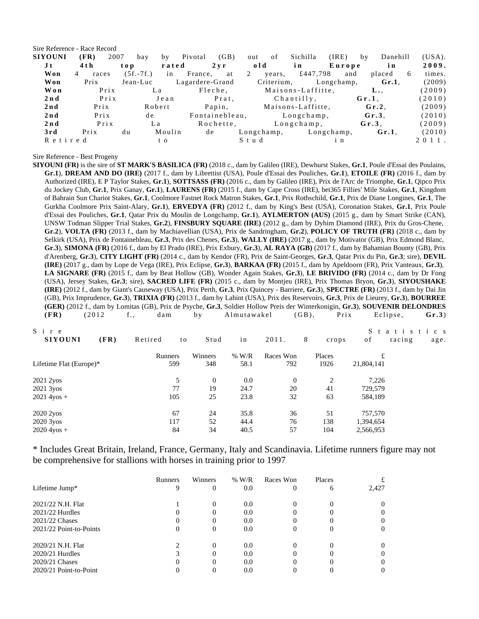Sire Reference - Race Record

| <b>SIYOUNI</b> | (FR)       | 2007                        | bay         | bv     | Pivotal         | (GB)                            | out  | of         | Sichilla          | (IRE)      | bv       | Danehill        |    | (USA).   |
|----------------|------------|-----------------------------|-------------|--------|-----------------|---------------------------------|------|------------|-------------------|------------|----------|-----------------|----|----------|
| J t            | 4 t h      | $\mathbf{t}$ o $\mathbf{p}$ |             | rated  |                 | $2 \, \mathrm{v} \, \mathrm{r}$ | old  |            | in                | Europe     |          | in              |    | 2009.    |
| Won            | 4<br>races |                             | $(5f.-7f.)$ | in     | France,         | at                              | 2    | years,     | £447,798          | and        |          | placed          | -6 | times.   |
| Won            | Prix       |                             | Jean-Luc    |        | Lagardere-Grand |                                 |      | Criterium, |                   | Longchamp, |          | $Gr.1$ .        |    | (2009)   |
| Won            |            | PriX                        |             | La     |                 | Fleche,                         |      |            | Maisons-Laffitte, |            |          | $L_{\bullet}$ . |    | (2009)   |
| 2n d           |            | PriX                        |             | Jean   |                 | Prat,                           |      |            | Chantilly,        |            | $Gr.1$ . |                 |    | (2010)   |
| 2nd            | PriX       |                             |             | Robert |                 | Papin,                          |      |            | Maisons-Laffitte, |            |          | $Gr.2$ .        |    | (2009)   |
| 2nd            | Prix       |                             | d e         |        |                 | Fontainebleau,                  |      |            | $L$ ongchamp,     |            |          | $Gr.3$ .        |    | (2010)   |
| 2nd            |            | PriX                        | L a         |        |                 | Rochette,                       |      |            | $L$ on g champ,   |            |          | $Gr.3$ .        |    | (2009)   |
| 3rd            | Prix       | d u                         |             | Moulin | de              |                                 |      | Longchamp, |                   | Longchamp, |          | $Gr.1$ .        |    | (2010)   |
| Retired        |            |                             |             | t o    |                 |                                 | Stud |            |                   | i n        |          |                 |    | $2011$ . |

Sire Reference - Best Progeny

**SIYOUNI (FR)** is the sire of **ST MARK'S BASILICA (FR)** (2018 c., dam by Galileo (IRE), Dewhurst Stakes, **Gr.1**, Poule d'Essai des Poulains, **Gr.1**), **DREAM AND DO (IRE)** (2017 f., dam by Librettist (USA), Poule d'Essai des Pouliches, **Gr.1**), **ETOILE (FR)** (2016 f., dam by Authorized (IRE), E P Taylor Stakes, **Gr.1**), **SOTTSASS (FR)** (2016 c., dam by Galileo (IRE), Prix de l'Arc de Triomphe, **Gr.1**, Qipco Prix du Jockey Club, **Gr.1**, Prix Ganay, **Gr.1**), **LAURENS (FR)** (2015 f., dam by Cape Cross (IRE), bet365 Fillies' Mile Stakes, **Gr.1**, Kingdom of Bahrain Sun Chariot Stakes, **Gr.1**, Coolmore Fastnet Rock Matron Stakes, **Gr.1**, Prix Rothschild, **Gr.1**, Prix de Diane Longines, **Gr.1**, The Gurkha Coolmore Prix Saint-Alary, **Gr.1**), **ERVEDYA (FR)** (2012 f., dam by King's Best (USA), Coronation Stakes, **Gr.1**, Prix Poule d'Essai des Pouliches, **Gr.1**, Qatar Prix du Moulin de Longchamp, **Gr.1**), **AYLMERTON (AUS)** (2015 g., dam by Smart Strike (CAN), UNSW Todman Slipper Trial Stakes, **Gr.2**), **FINSBURY SQUARE (IRE)** (2012 g., dam by Dyhim Diamond (IRE), Prix du Gros-Chene, **Gr.2**), **VOLTA (FR)** (2013 f., dam by Machiavellian (USA), Prix de Sandringham, **Gr.2**), **POLICY OF TRUTH (FR)** (2018 c., dam by Selkirk (USA), Prix de Fontainebleau, **Gr.3**, Prix des Chenes, **Gr.3**), **WALLY (IRE)** (2017 g., dam by Motivator (GB), Prix Edmond Blanc, **Gr.3**), **SIMONA (FR)** (2016 f., dam by El Prado (IRE), Prix Exbury, **Gr.3**), **AL RAYA (GB)** (2017 f., dam by Bahamian Bounty (GB), Prix d'Arenberg, **Gr.3**), **CITY LIGHT (FR)** (2014 c., dam by Kendor (FR), Prix de Saint-Georges, **Gr.3**, Qatar Prix du Pin, **Gr.3**; sire), **DEVIL (IRE)** (2017 g., dam by Lope de Vega (IRE), Prix Eclipse, **Gr.3**), **BARKAA (FR)** (2015 f., dam by Apeldoorn (FR), Prix Vanteaux, **Gr.3**), **LA SIGNARE (FR)** (2015 f., dam by Beat Hollow (GB), Wonder Again Stakes, **Gr.3**), **LE BRIVIDO (FR)** (2014 c., dam by Dr Fong (USA), Jersey Stakes, **Gr.3**; sire), **SACRED LIFE (FR)** (2015 c., dam by Montjeu (IRE), Prix Thomas Bryon, **Gr.3**), **SIYOUSHAKE (IRE)** (2012 f., dam by Giant's Causeway (USA), Prix Perth, **Gr.3**, Prix Quincey - Barriere, **Gr.3**), **SPECTRE (FR)** (2013 f., dam by Dai Jin (GB), Prix Imprudence, **Gr.3**), **TRIXIA (FR)** (2013 f., dam by Lahint (USA), Prix des Reservoirs, **Gr.3**, Prix de Lieurey, **Gr.3**), **BOURREE (GER)** (2012 f., dam by Lomitas (GB), Prix de Psyche, **Gr.3**, Soldier Hollow Preis der Winterkonigin, **Gr.3**), **SOUVENIR DELONDRES (FR)** (2012 f., dam by Almutawakel (GB), Prix Eclipse, Gr.3)

| Sire<br><b>SIYOUNI</b>  | (FR) | Retired | to | Stud     | in      | 2011.     | 8 | crops          | of         | Statistics<br>racing | age. |
|-------------------------|------|---------|----|----------|---------|-----------|---|----------------|------------|----------------------|------|
|                         |      | Runners |    | Winners  | $%$ W/R | Races Won |   | Places         | £          |                      |      |
| Lifetime Flat (Europe)* |      | 599     |    | 348      | 58.1    | 792       |   | 1926           | 21,804,141 |                      |      |
| 2021 2yos               |      |         | 5  | $\Omega$ | 0.0     | $\theta$  |   | $\overline{2}$ | 7,226      |                      |      |
| 2021 3yos               |      |         | 77 | 19       | 24.7    | 20        |   | 41             | 729,579    |                      |      |
| $2021$ 4yos +           |      | 105     |    | 25       | 23.8    | 32        |   | 63             | 584,189    |                      |      |
| 2020 2yos               |      |         | 67 | 24       | 35.8    | 36        |   | 51             | 757,570    |                      |      |
| 2020 3yos               |      | 117     |    | 52       | 44.4    | 76        |   | 138            | 1,394,654  |                      |      |
| $2020\,4y$ os +         |      |         | 84 | 34       | 40.5    | 57        |   | 104            | 2,566,953  |                      |      |

\* Includes Great Britain, Ireland, France, Germany, Italy and Scandinavia. Lifetime runners figure may not be comprehensive for stallions with horses in training prior to 1997

|                         | <b>Runners</b> | Winners  | $%$ W/R | Races Won | Places |              |
|-------------------------|----------------|----------|---------|-----------|--------|--------------|
| Lifetime Jump*          | 9              | $\Omega$ | 0.0     | 0         | 6      | 2,427        |
| 2021/22 N.H. Flat       |                | $\Omega$ | 0.0     |           |        |              |
| $2021/22$ Hurdles       |                | $\Omega$ | 0.0     |           |        |              |
| 2021/22 Chases          | 0              | $\Omega$ | 0.0     |           |        |              |
| 2021/22 Point-to-Points | 0              | $\Omega$ | 0.0     |           |        |              |
| 2020/21 N.H. Flat       |                | 0        | 0.0     |           |        |              |
| $2020/21$ Hurdles       |                | $\Omega$ | 0.0     |           |        |              |
| 2020/21 Chases          |                | $\Omega$ | 0.0     |           |        | $\mathbf{0}$ |
| 2020/21 Point-to-Point  |                |          | 0.0     |           |        |              |